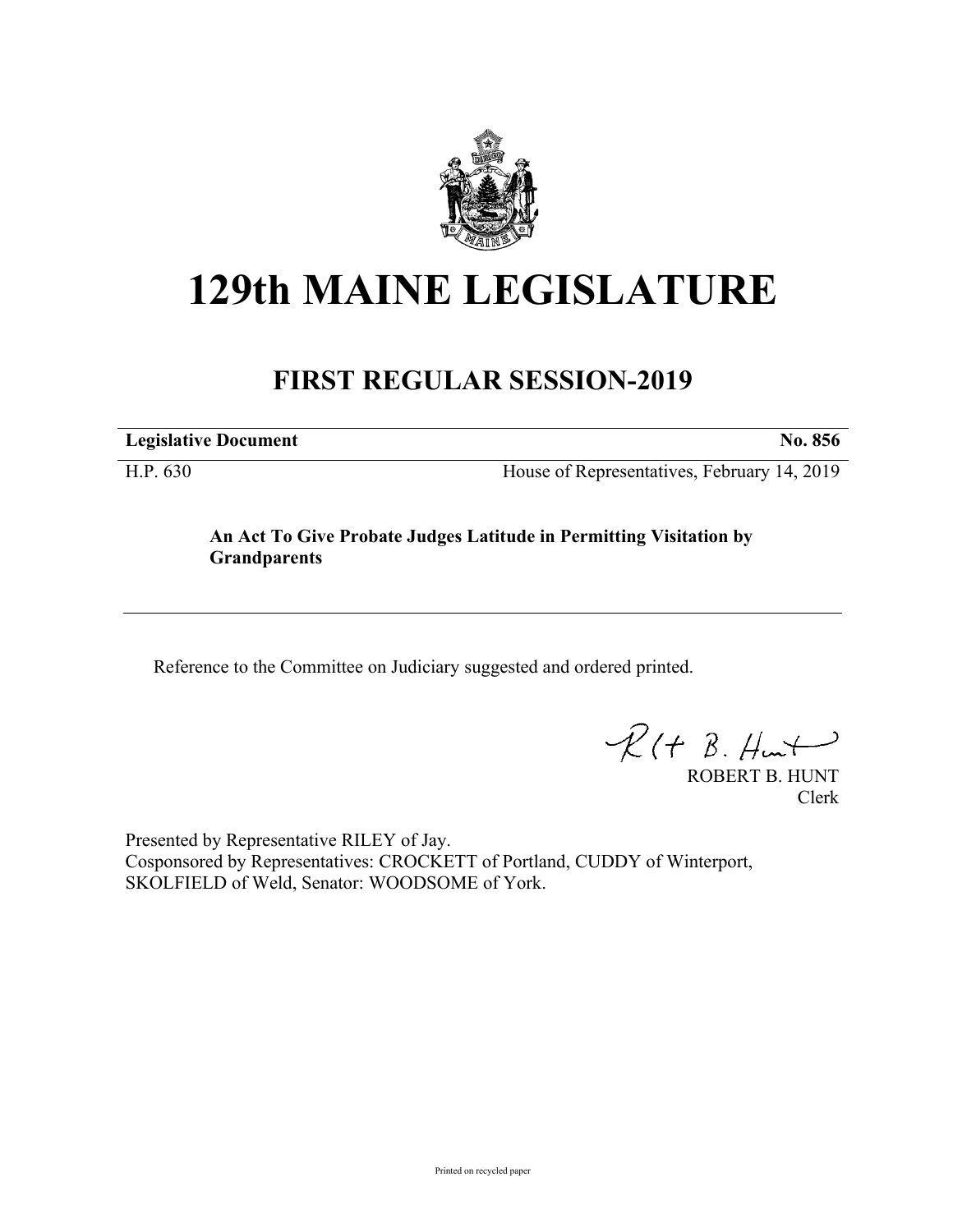

## **129th MAINE LEGISLATURE**

## **FIRST REGULAR SESSION-2019**

**Legislative Document No. 856**

H.P. 630 House of Representatives, February 14, 2019

## **An Act To Give Probate Judges Latitude in Permitting Visitation by Grandparents**

Reference to the Committee on Judiciary suggested and ordered printed.

 $R(H B. Hmt)$ 

ROBERT B. HUNT Clerk

Presented by Representative RILEY of Jay. Cosponsored by Representatives: CROCKETT of Portland, CUDDY of Winterport, SKOLFIELD of Weld, Senator: WOODSOME of York.